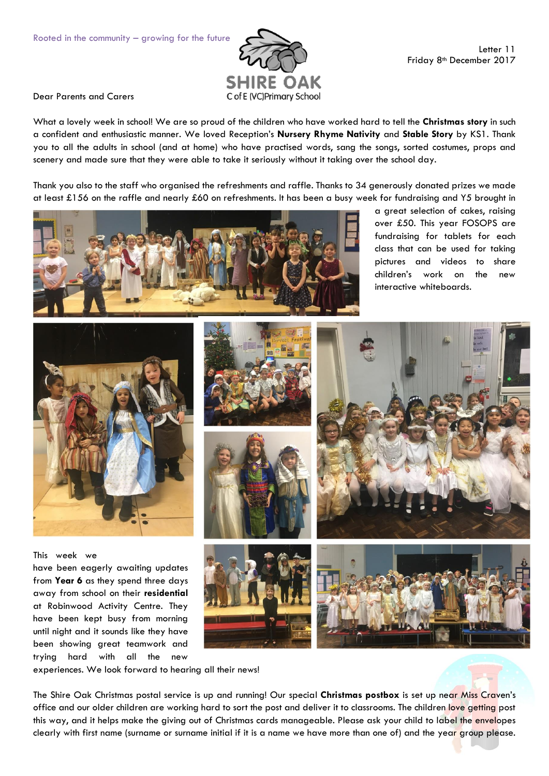

Dear Parents and Carers

What a lovely week in school! We are so proud of the children who have worked hard to tell the **Christmas story** in such a confident and enthusiastic manner. We loved Reception's **Nursery Rhyme Nativity** and **Stable Story** by KS1. Thank you to all the adults in school (and at home) who have practised words, sang the songs, sorted costumes, props and scenery and made sure that they were able to take it seriously without it taking over the school day.

Thank you also to the staff who organised the refreshments and raffle. Thanks to 34 generously donated prizes we made at least £156 on the raffle and nearly £60 on refreshments. It has been a busy week for fundraising and Y5 brought in



a great selection of cakes, raising over £50. This year FOSOPS are fundraising for tablets for each class that can be used for taking pictures and videos to share children's work on the new interactive whiteboards.



experiences. We look forward to hearing all their news!

been showing great teamwork and trying hard with all the new

The Shire Oak Christmas postal service is up and running! Our special **Christmas postbox** is set up near Miss Craven's office and our older children are working hard to sort the post and deliver it to classrooms. The children love getting post this way, and it helps make the giving out of Christmas cards manageable. Please ask your child to label the envelopes clearly with first name (surname or surname initial if it is a name we have more than one of) and the year group please.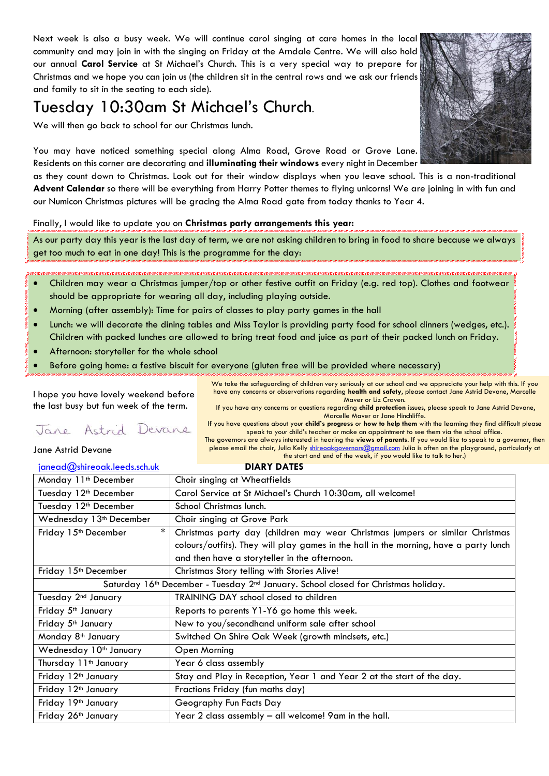Next week is also a busy week. We will continue carol singing at care homes in the local community and may join in with the singing on Friday at the Arndale Centre. We will also hold our annual **Carol Service** at St Michael's Church. This is a very special way to prepare for Christmas and we hope you can join us (the children sit in the central rows and we ask our friends and family to sit in the seating to each side).

## Tuesday 10:30am St Michael's Church.

We will then go back to school for our Christmas lunch.

You may have noticed something special along Alma Road, Grove Road or Grove Lane. Residents on this corner are decorating and **illuminating their windows** every night in December

as they count down to Christmas. Look out for their window displays when you leave school. This is a non-traditional **Advent Calendar** so there will be everything from Harry Potter themes to flying unicorns! We are joining in with fun and our Numicon Christmas pictures will be gracing the Alma Road gate from today thanks to Year 4.

## Finally, I would like to update you on **Christmas party arrangements this year:**

As our party day this year is the last day of term, we are not asking children to bring in food to share because we always get too much to eat in one day! This is the programme for the day:

- Children may wear a Christmas jumper/top or other festive outfit on Friday (e.g. red top). Clothes and footwear should be appropriate for wearing all day, including playing outside.
- Morning (after assembly): Time for pairs of classes to play party games in the hall
- Lunch: we will decorate the dining tables and Miss Taylor is providing party food for school dinners (wedges, etc.). Children with packed lunches are allowed to bring treat food and juice as part of their packed lunch on Friday.
- Afternoon: storyteller for the whole school
- Before going home: a festive biscuit for everyone (gluten free will be provided where necessary)

I hope you have lovely weekend before the last busy but fun week of the term.

## Jane Astrid Devane

Jane Astrid Devane

Maver or Liz Craven. If you have any concerns or questions regarding **child protection** issues, please speak to Jane Astrid Devane, Marcelle Maver or Jane Hinchliffe. If you have questions about your **child's progress** or **how to help them** with the learning they find difficult please speak to your child's teacher or make an appointment to see them via the school office.

We take the safeguarding of children very seriously at our school and we appreciate your help with this. If you have any concerns or observations regarding **health and safety**, please contact Jane Astrid Devane, Marcelle

The governors are always interested in hearing the **views of parents**. If you would like to speak to a governor, then please email the chair, Julia Kelly [shireoakgovernors@gmail.com](mailto:shireoakgovernors@gmail.com) Julia is often on the playground, particularly at the start and end of the week, if you would like to talk to her.)

| <u>janead@shireoak.leeds.sch.uk</u>                                                                        | <b>DIARY DATES</b>                                                                    |
|------------------------------------------------------------------------------------------------------------|---------------------------------------------------------------------------------------|
| Monday 11 <sup>th</sup> December                                                                           | Choir singing at Wheatfields                                                          |
| Tuesday 12 <sup>th</sup> December                                                                          | Carol Service at St Michael's Church 10:30am, all welcome!                            |
| Tuesday 12 <sup>th</sup> December                                                                          | School Christmas lunch.                                                               |
| Wednesday 13 <sup>th</sup> December                                                                        | Choir singing at Grove Park                                                           |
| $\ast$<br>Friday 15 <sup>th</sup> December                                                                 | Christmas party day (children may wear Christmas jumpers or similar Christmas         |
|                                                                                                            | colours/outfits). They will play games in the hall in the morning, have a party lunch |
|                                                                                                            | and then have a storyteller in the afternoon.                                         |
| Friday 15th December                                                                                       | Christmas Story telling with Stories Alive!                                           |
| Saturday 16 <sup>th</sup> December - Tuesday 2 <sup>nd</sup> January. School closed for Christmas holiday. |                                                                                       |
| Tuesday 2 <sup>nd</sup> January                                                                            | TRAINING DAY school closed to children                                                |
| Friday 5 <sup>th</sup> January                                                                             | Reports to parents Y1-Y6 go home this week.                                           |
| Friday 5 <sup>th</sup> January                                                                             | New to you/secondhand uniform sale after school                                       |
| Monday 8 <sup>th</sup> January                                                                             | Switched On Shire Oak Week (growth mindsets, etc.)                                    |
| Wednesday 10 <sup>th</sup> January                                                                         | Open Morning                                                                          |
| Thursday 11 <sup>th</sup> January                                                                          | Year 6 class assembly                                                                 |
| Friday 12 <sup>th</sup> January                                                                            | Stay and Play in Reception, Year 1 and Year 2 at the start of the day.                |
| Friday 12 <sup>th</sup> January                                                                            | Fractions Friday (fun maths day)                                                      |
| Friday 19th January                                                                                        | Geography Fun Facts Day                                                               |
| Friday 26th January                                                                                        | Year 2 class assembly - all welcome! 9am in the hall.                                 |